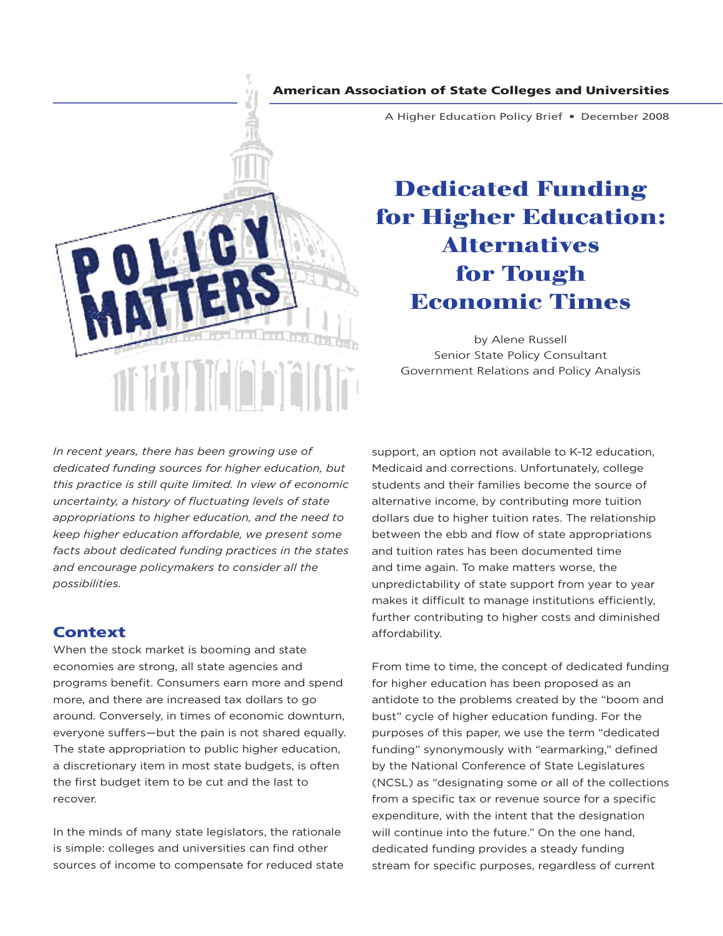## American Association of State Colleges and Universities



A Higher Education Policy Brief • December 2008

# **Dedicated Funding for Higher Education: Alternatives for Tough Economic Times**

by Alene Russell Senior State Policy Consultant Government Relations and Policy Analysis

*In recent years, there has been growing use of dedicated funding sources for higher education, but this practice is still quite limited. In view of economic uncertainty, a history of fluctuating levels of state appropriations to higher education, and the need to keep higher education affordable, we present some facts about dedicated funding practices in the states and encourage policymakers to consider all the possibilities.* 

# **Context**

When the stock market is booming and state economies are strong, all state agencies and programs benefit. Consumers earn more and spend more, and there are increased tax dollars to go around. Conversely, in times of economic downturn, everyone suffers—but the pain is not shared equally. The state appropriation to public higher education, a discretionary item in most state budgets, is often the first budget item to be cut and the last to recover.

In the minds of many state legislators, the rationale is simple: colleges and universities can find other sources of income to compensate for reduced state

support, an option not available to K-12 education, Medicaid and corrections. Unfortunately, college students and their families become the source of alternative income, by contributing more tuition dollars due to higher tuition rates. The relationship between the ebb and flow of state appropriations and tuition rates has been documented time and time again. To make matters worse, the unpredictability of state support from year to year makes it difficult to manage institutions efficiently, further contributing to higher costs and diminished affordability.

From time to time, the concept of dedicated funding for higher education has been proposed as an antidote to the problems created by the "boom and bust" cycle of higher education funding. For the purposes of this paper, we use the term "dedicated funding" synonymously with "earmarking," defined by the National Conference of State Legislatures (NCSL) as "designating some or all of the collections from a specific tax or revenue source for a specific expenditure, with the intent that the designation will continue into the future." On the one hand, dedicated funding provides a steady funding stream for specific purposes, regardless of current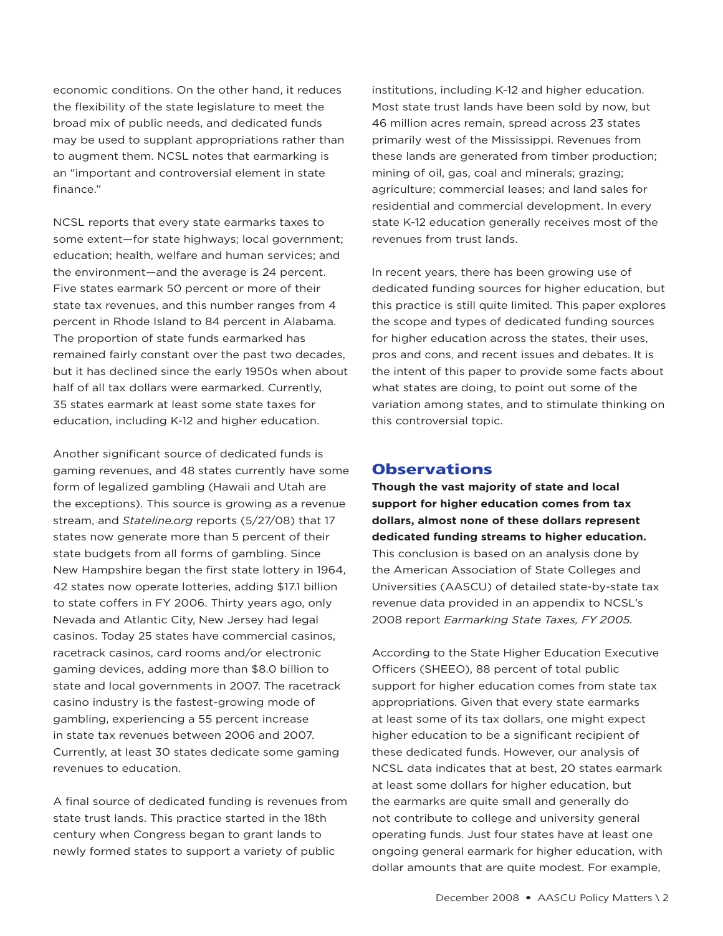economic conditions. On the other hand, it reduces the flexibility of the state legislature to meet the broad mix of public needs, and dedicated funds may be used to supplant appropriations rather than to augment them. NCSL notes that earmarking is an "important and controversial element in state finance."

NCSL reports that every state earmarks taxes to some extent—for state highways; local government; education; health, welfare and human services; and the environment—and the average is 24 percent. Five states earmark 50 percent or more of their state tax revenues, and this number ranges from 4 percent in Rhode Island to 84 percent in Alabama. The proportion of state funds earmarked has remained fairly constant over the past two decades, but it has declined since the early 1950s when about half of all tax dollars were earmarked. Currently, 35 states earmark at least some state taxes for education, including K-12 and higher education.

Another significant source of dedicated funds is gaming revenues, and 48 states currently have some form of legalized gambling (Hawaii and Utah are the exceptions). This source is growing as a revenue stream, and *Stateline.org* reports (5/27/08) that 17 states now generate more than 5 percent of their state budgets from all forms of gambling. Since New Hampshire began the first state lottery in 1964, 42 states now operate lotteries, adding \$17.1 billion to state coffers in FY 2006. Thirty years ago, only Nevada and Atlantic City, New Jersey had legal casinos. Today 25 states have commercial casinos, racetrack casinos, card rooms and/or electronic gaming devices, adding more than \$8.0 billion to state and local governments in 2007. The racetrack casino industry is the fastest-growing mode of gambling, experiencing a 55 percent increase in state tax revenues between 2006 and 2007. Currently, at least 30 states dedicate some gaming revenues to education.

A final source of dedicated funding is revenues from state trust lands. This practice started in the 18th century when Congress began to grant lands to newly formed states to support a variety of public

institutions, including K-12 and higher education. Most state trust lands have been sold by now, but 46 million acres remain, spread across 23 states primarily west of the Mississippi. Revenues from these lands are generated from timber production; mining of oil, gas, coal and minerals; grazing; agriculture; commercial leases; and land sales for residential and commercial development. In every state K-12 education generally receives most of the revenues from trust lands.

In recent years, there has been growing use of dedicated funding sources for higher education, but this practice is still quite limited. This paper explores the scope and types of dedicated funding sources for higher education across the states, their uses, pros and cons, and recent issues and debates. It is the intent of this paper to provide some facts about what states are doing, to point out some of the variation among states, and to stimulate thinking on this controversial topic.

## **Observations**

**Though the vast majority of state and local support for higher education comes from tax dollars, almost none of these dollars represent dedicated funding streams to higher education.** This conclusion is based on an analysis done by the American Association of State Colleges and Universities (AASCU) of detailed state-by-state tax revenue data provided in an appendix to NCSL's 2008 report *Earmarking State Taxes, FY 2005.*

According to the State Higher Education Executive Officers (SHEEO), 88 percent of total public support for higher education comes from state tax appropriations. Given that every state earmarks at least some of its tax dollars, one might expect higher education to be a significant recipient of these dedicated funds. However, our analysis of NCSL data indicates that at best, 20 states earmark at least some dollars for higher education, but the earmarks are quite small and generally do not contribute to college and university general operating funds. Just four states have at least one ongoing general earmark for higher education, with dollar amounts that are quite modest. For example,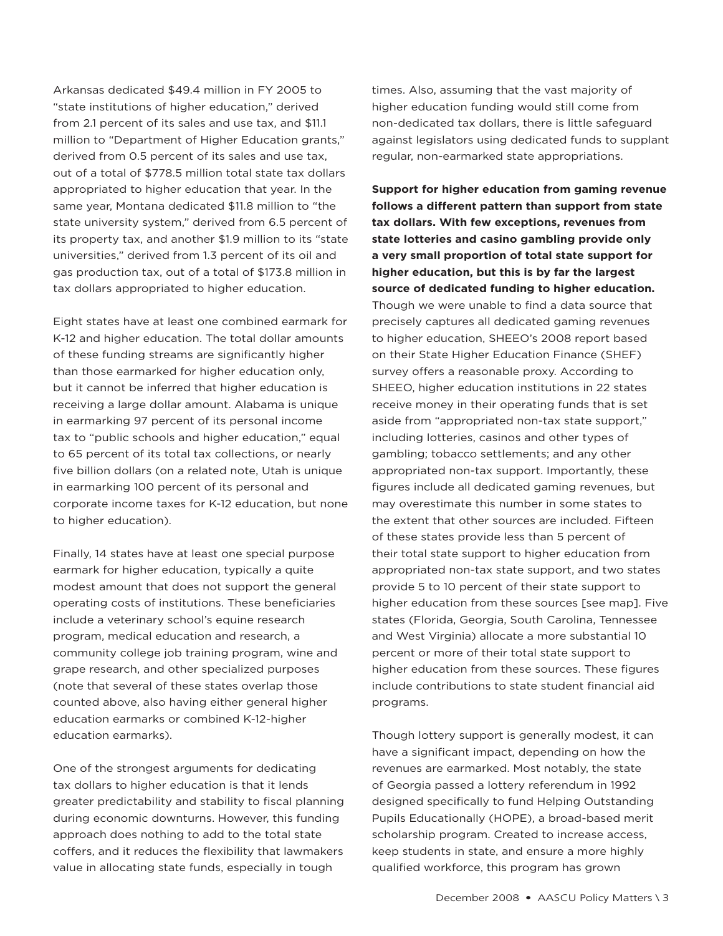Arkansas dedicated \$49.4 million in FY 2005 to "state institutions of higher education," derived from 2.1 percent of its sales and use tax, and \$11.1 million to "Department of Higher Education grants," derived from 0.5 percent of its sales and use tax, out of a total of \$778.5 million total state tax dollars appropriated to higher education that year. In the same year, Montana dedicated \$11.8 million to "the state university system," derived from 6.5 percent of its property tax, and another \$1.9 million to its "state universities," derived from 1.3 percent of its oil and gas production tax, out of a total of \$173.8 million in tax dollars appropriated to higher education.

Eight states have at least one combined earmark for K-12 and higher education. The total dollar amounts of these funding streams are significantly higher than those earmarked for higher education only, but it cannot be inferred that higher education is receiving a large dollar amount. Alabama is unique in earmarking 97 percent of its personal income tax to "public schools and higher education," equal to 65 percent of its total tax collections, or nearly five billion dollars (on a related note, Utah is unique in earmarking 100 percent of its personal and corporate income taxes for K-12 education, but none to higher education).

Finally, 14 states have at least one special purpose earmark for higher education, typically a quite modest amount that does not support the general operating costs of institutions. These beneficiaries include a veterinary school's equine research program, medical education and research, a community college job training program, wine and grape research, and other specialized purposes (note that several of these states overlap those counted above, also having either general higher education earmarks or combined K-12-higher education earmarks).

One of the strongest arguments for dedicating tax dollars to higher education is that it lends greater predictability and stability to fiscal planning during economic downturns. However, this funding approach does nothing to add to the total state coffers, and it reduces the flexibility that lawmakers value in allocating state funds, especially in tough

times. Also, assuming that the vast majority of higher education funding would still come from non-dedicated tax dollars, there is little safeguard against legislators using dedicated funds to supplant regular, non-earmarked state appropriations.

**Support for higher education from gaming revenue follows a different pattern than support from state tax dollars. With few exceptions, revenues from state lotteries and casino gambling provide only a very small proportion of total state support for higher education, but this is by far the largest source of dedicated funding to higher education.**  Though we were unable to find a data source that precisely captures all dedicated gaming revenues to higher education, SHEEO's 2008 report based on their State Higher Education Finance (SHEF) survey offers a reasonable proxy. According to SHEEO, higher education institutions in 22 states receive money in their operating funds that is set aside from "appropriated non-tax state support," including lotteries, casinos and other types of gambling; tobacco settlements; and any other appropriated non-tax support. Importantly, these figures include all dedicated gaming revenues, but may overestimate this number in some states to the extent that other sources are included. Fifteen of these states provide less than 5 percent of their total state support to higher education from appropriated non-tax state support, and two states provide 5 to 10 percent of their state support to higher education from these sources [see map]. Five states (Florida, Georgia, South Carolina, Tennessee and West Virginia) allocate a more substantial 10 percent or more of their total state support to higher education from these sources. These figures include contributions to state student financial aid programs.

Though lottery support is generally modest, it can have a significant impact, depending on how the revenues are earmarked. Most notably, the state of Georgia passed a lottery referendum in 1992 designed specifically to fund Helping Outstanding Pupils Educationally (HOPE), a broad-based merit scholarship program. Created to increase access, keep students in state, and ensure a more highly qualified workforce, this program has grown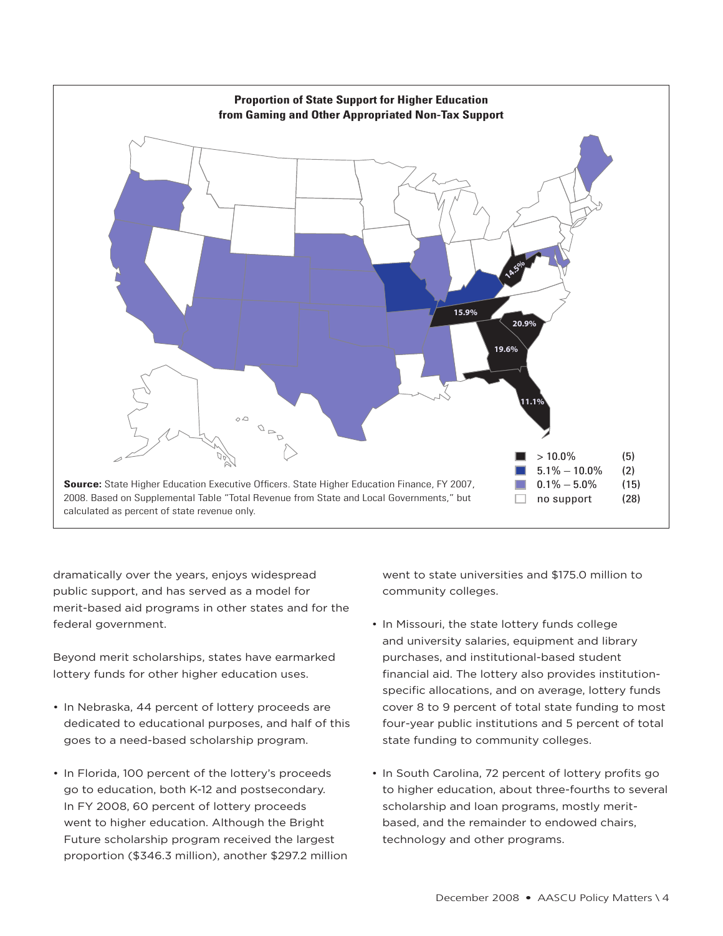

dramatically over the years, enjoys widespread public support, and has served as a model for merit-based aid programs in other states and for the federal government.

Beyond merit scholarships, states have earmarked lottery funds for other higher education uses.

- In Nebraska, 44 percent of lottery proceeds are dedicated to educational purposes, and half of this goes to a need-based scholarship program.
- In Florida, 100 percent of the lottery's proceeds go to education, both K-12 and postsecondary. In FY 2008, 60 percent of lottery proceeds went to higher education. Although the Bright Future scholarship program received the largest proportion (\$346.3 million), another \$297.2 million

went to state universities and \$175.0 million to community colleges.

- In Missouri, the state lottery funds college and university salaries, equipment and library purchases, and institutional-based student financial aid. The lottery also provides institutionspecific allocations, and on average, lottery funds cover 8 to 9 percent of total state funding to most four-year public institutions and 5 percent of total state funding to community colleges.
- In South Carolina, 72 percent of lottery profits go to higher education, about three-fourths to several scholarship and loan programs, mostly meritbased, and the remainder to endowed chairs, technology and other programs.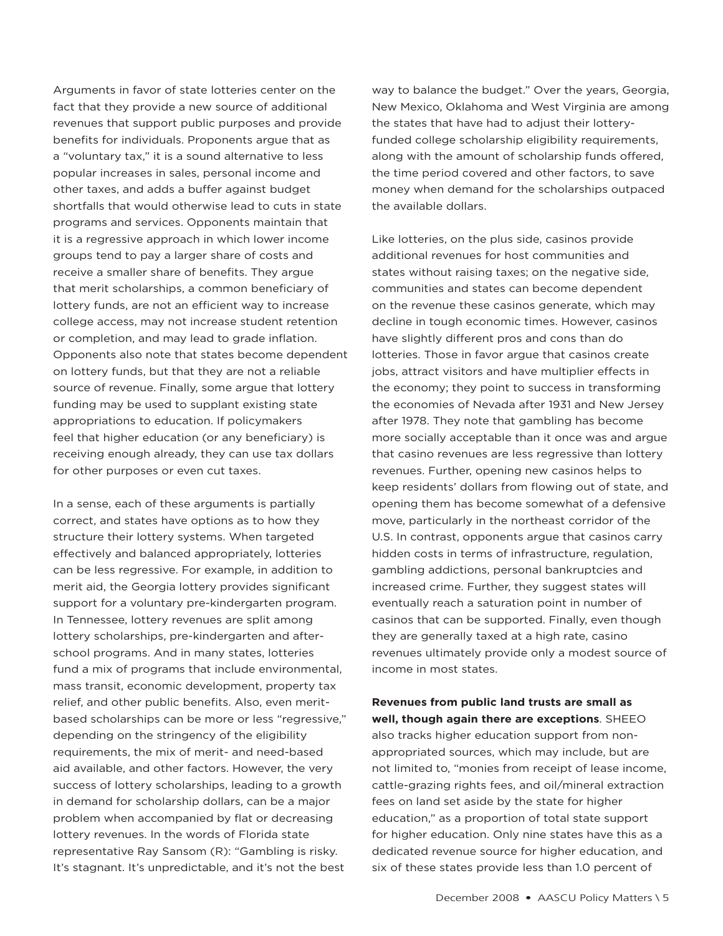Arguments in favor of state lotteries center on the fact that they provide a new source of additional revenues that support public purposes and provide benefits for individuals. Proponents argue that as a "voluntary tax," it is a sound alternative to less popular increases in sales, personal income and other taxes, and adds a buffer against budget shortfalls that would otherwise lead to cuts in state programs and services. Opponents maintain that it is a regressive approach in which lower income groups tend to pay a larger share of costs and receive a smaller share of benefits. They argue that merit scholarships, a common beneficiary of lottery funds, are not an efficient way to increase college access, may not increase student retention or completion, and may lead to grade inflation. Opponents also note that states become dependent on lottery funds, but that they are not a reliable source of revenue. Finally, some argue that lottery funding may be used to supplant existing state appropriations to education. If policymakers feel that higher education (or any beneficiary) is receiving enough already, they can use tax dollars for other purposes or even cut taxes.

In a sense, each of these arguments is partially correct, and states have options as to how they structure their lottery systems. When targeted effectively and balanced appropriately, lotteries can be less regressive. For example, in addition to merit aid, the Georgia lottery provides significant support for a voluntary pre-kindergarten program. In Tennessee, lottery revenues are split among lottery scholarships, pre-kindergarten and afterschool programs. And in many states, lotteries fund a mix of programs that include environmental, mass transit, economic development, property tax relief, and other public benefits. Also, even meritbased scholarships can be more or less "regressive," depending on the stringency of the eligibility requirements, the mix of merit- and need-based aid available, and other factors. However, the very success of lottery scholarships, leading to a growth in demand for scholarship dollars, can be a major problem when accompanied by flat or decreasing lottery revenues. In the words of Florida state representative Ray Sansom (R): "Gambling is risky. It's stagnant. It's unpredictable, and it's not the best way to balance the budget." Over the years, Georgia, New Mexico, Oklahoma and West Virginia are among the states that have had to adjust their lotteryfunded college scholarship eligibility requirements, along with the amount of scholarship funds offered, the time period covered and other factors, to save money when demand for the scholarships outpaced the available dollars.

Like lotteries, on the plus side, casinos provide additional revenues for host communities and states without raising taxes; on the negative side, communities and states can become dependent on the revenue these casinos generate, which may decline in tough economic times. However, casinos have slightly different pros and cons than do lotteries. Those in favor argue that casinos create jobs, attract visitors and have multiplier effects in the economy; they point to success in transforming the economies of Nevada after 1931 and New Jersey after 1978. They note that gambling has become more socially acceptable than it once was and argue that casino revenues are less regressive than lottery revenues. Further, opening new casinos helps to keep residents' dollars from flowing out of state, and opening them has become somewhat of a defensive move, particularly in the northeast corridor of the U.S. In contrast, opponents argue that casinos carry hidden costs in terms of infrastructure, regulation, gambling addictions, personal bankruptcies and increased crime. Further, they suggest states will eventually reach a saturation point in number of casinos that can be supported. Finally, even though they are generally taxed at a high rate, casino revenues ultimately provide only a modest source of income in most states.

**Revenues from public land trusts are small as well, though again there are exceptions**. SHEEO also tracks higher education support from nonappropriated sources, which may include, but are not limited to, "monies from receipt of lease income, cattle-grazing rights fees, and oil/mineral extraction fees on land set aside by the state for higher education," as a proportion of total state support for higher education. Only nine states have this as a dedicated revenue source for higher education, and six of these states provide less than 1.0 percent of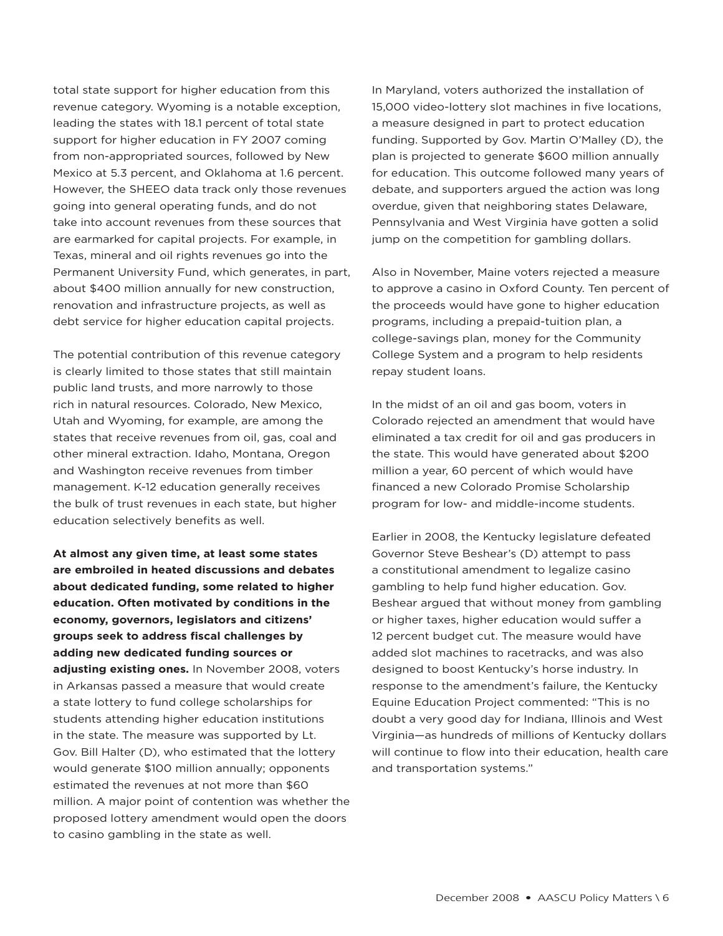total state support for higher education from this revenue category. Wyoming is a notable exception, leading the states with 18.1 percent of total state support for higher education in FY 2007 coming from non-appropriated sources, followed by New Mexico at 5.3 percent, and Oklahoma at 1.6 percent. However, the SHEEO data track only those revenues going into general operating funds, and do not take into account revenues from these sources that are earmarked for capital projects. For example, in Texas, mineral and oil rights revenues go into the Permanent University Fund, which generates, in part, about \$400 million annually for new construction, renovation and infrastructure projects, as well as debt service for higher education capital projects.

The potential contribution of this revenue category is clearly limited to those states that still maintain public land trusts, and more narrowly to those rich in natural resources. Colorado, New Mexico, Utah and Wyoming, for example, are among the states that receive revenues from oil, gas, coal and other mineral extraction. Idaho, Montana, Oregon and Washington receive revenues from timber management. K-12 education generally receives the bulk of trust revenues in each state, but higher education selectively benefits as well.

**At almost any given time, at least some states are embroiled in heated discussions and debates about dedicated funding, some related to higher education. Often motivated by conditions in the economy, governors, legislators and citizens' groups seek to address fiscal challenges by adding new dedicated funding sources or adjusting existing ones.** In November 2008, voters in Arkansas passed a measure that would create a state lottery to fund college scholarships for students attending higher education institutions in the state. The measure was supported by Lt. Gov. Bill Halter (D), who estimated that the lottery would generate \$100 million annually; opponents estimated the revenues at not more than \$60 million. A major point of contention was whether the proposed lottery amendment would open the doors to casino gambling in the state as well.

In Maryland, voters authorized the installation of 15,000 video-lottery slot machines in five locations, a measure designed in part to protect education funding. Supported by Gov. Martin O'Malley (D), the plan is projected to generate \$600 million annually for education. This outcome followed many years of debate, and supporters argued the action was long overdue, given that neighboring states Delaware, Pennsylvania and West Virginia have gotten a solid jump on the competition for gambling dollars.

Also in November, Maine voters rejected a measure to approve a casino in Oxford County. Ten percent of the proceeds would have gone to higher education programs, including a prepaid-tuition plan, a college-savings plan, money for the Community College System and a program to help residents repay student loans.

In the midst of an oil and gas boom, voters in Colorado rejected an amendment that would have eliminated a tax credit for oil and gas producers in the state. This would have generated about \$200 million a year, 60 percent of which would have financed a new Colorado Promise Scholarship program for low- and middle-income students.

Earlier in 2008, the Kentucky legislature defeated Governor Steve Beshear's (D) attempt to pass a constitutional amendment to legalize casino gambling to help fund higher education. Gov. Beshear argued that without money from gambling or higher taxes, higher education would suffer a 12 percent budget cut. The measure would have added slot machines to racetracks, and was also designed to boost Kentucky's horse industry. In response to the amendment's failure, the Kentucky Equine Education Project commented: "This is no doubt a very good day for Indiana, Illinois and West Virginia—as hundreds of millions of Kentucky dollars will continue to flow into their education, health care and transportation systems."